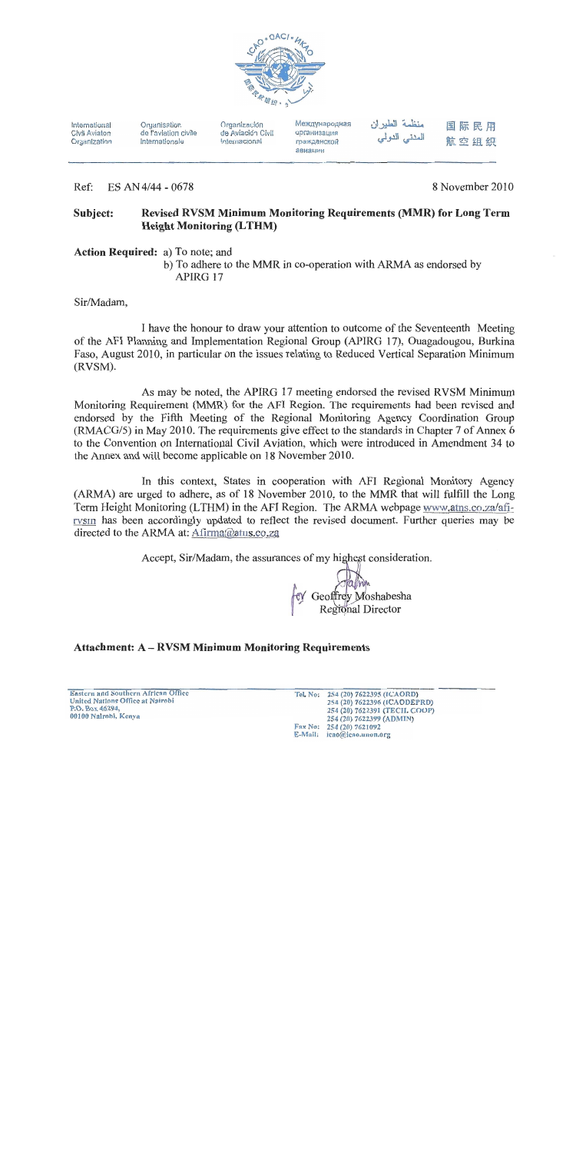

International Civil Aviaton Organization Organisation de l'aviation civile internationale

Organización de Aviación Civil Internacional

Международная организация гражданской авиации

منظمة الطيران المدني الدولمي

### 国际民用 航空组织

Ref: ES AN 4/44 - 0678 8 November 2010

#### Revised RVSM Minimum Monitoring Requirements (MMR) for Long Term Subject: **Height Monitoring (LTHM)**

Action Required: a) To note; and

b) To adhere to the MMR in co-operation with ARMA as endorsed by APIRG 17

Sir/Madam,

I have the honour to draw your attention to outcome of the Seventeenth Meeting of the AFI Planning and Implementation Regional Group (APIRG 17), Ouagadougou, Burkina Faso, August 2010, in particular on the issues relating to Reduced Vertical Separation Minimum (RVSM).

As may be noted, the APIRG 17 meeting endorsed the revised RVSM Minimum Monitoring Requirement (MMR) for the AFI Region. The requirements had been revised and endorsed by the Fifth Meeting of the Regional Monitoring Agency Coordination Group (RMACG/5) in May 2010. The requirements give effect to the standards in Chapter 7 of Annex 6 to the Convention on International Civil Aviation, which were introduced in Amendment 34 to the Annex and will become applicable on 18 November 2010.

In this context, States in cooperation with AFI Regional Monitory Agency (ARMA) are urged to adhere, as of 18 November 2010, to the MMR that will fulfill the Long Term Height Monitoring (LTHM) in the AFI Region. The ARMA webpage www.atns.co.za/afirvsm has been accordingly updated to reflect the revised document. Further queries may be directed to the ARMA at: Afirma@atns.co.za

Accept, Sir/Madam, the assurances of my highest consideration.

Geoffrey Moshabesha Regional Director

## **Attachment: A - RVSM Minimum Monitoring Requirements**

Eastern and Southern African Office **United Nations Office at Nairobi** P.O. Box 46294,<br>00100 Nairobi, Kenya

254 (20) 7622395 (ICAORD) Tel. No: 254 (20) 7622396 (ICAODEPRD) 254 (20) 7622391 (TECH. COOP) 254 (20) 7622399 (ADMIN) Fax No: 254 (20) 7621092 E-Mail: icao@icao.unon.org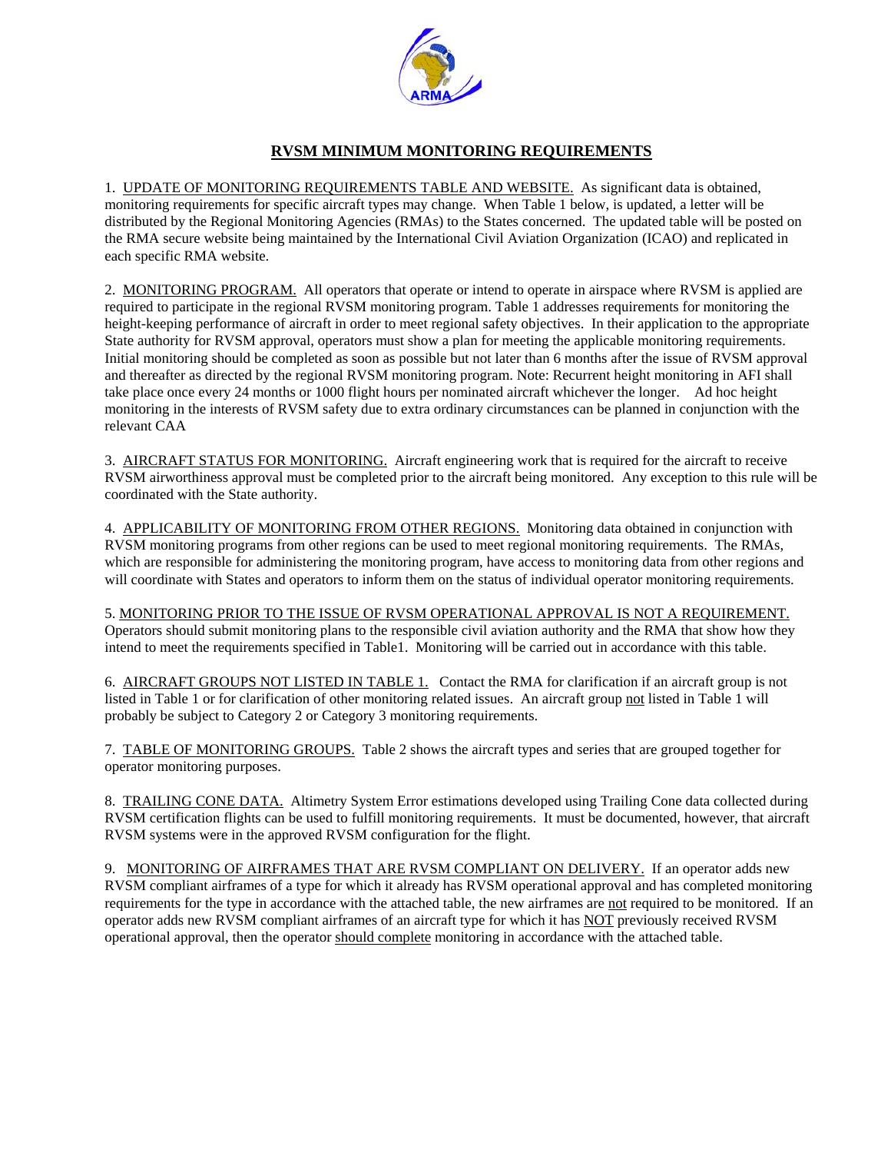

### **RVSM MINIMUM MONITORING REQUIREMENTS**

1. UPDATE OF MONITORING REQUIREMENTS TABLE AND WEBSITE. As significant data is obtained, monitoring requirements for specific aircraft types may change. When Table 1 below, is updated, a letter will be distributed by the Regional Monitoring Agencies (RMAs) to the States concerned. The updated table will be posted on the RMA secure website being maintained by the International Civil Aviation Organization (ICAO) and replicated in each specific RMA website.

2. MONITORING PROGRAM. All operators that operate or intend to operate in airspace where RVSM is applied are required to participate in the regional RVSM monitoring program. Table 1 addresses requirements for monitoring the height-keeping performance of aircraft in order to meet regional safety objectives. In their application to the appropriate State authority for RVSM approval, operators must show a plan for meeting the applicable monitoring requirements. Initial monitoring should be completed as soon as possible but not later than 6 months after the issue of RVSM approval and thereafter as directed by the regional RVSM monitoring program. Note: Recurrent height monitoring in AFI shall take place once every 24 months or 1000 flight hours per nominated aircraft whichever the longer. Ad hoc height monitoring in the interests of RVSM safety due to extra ordinary circumstances can be planned in conjunction with the relevant CAA

3. AIRCRAFT STATUS FOR MONITORING. Aircraft engineering work that is required for the aircraft to receive RVSM airworthiness approval must be completed prior to the aircraft being monitored. Any exception to this rule will be coordinated with the State authority.

4. APPLICABILITY OF MONITORING FROM OTHER REGIONS. Monitoring data obtained in conjunction with RVSM monitoring programs from other regions can be used to meet regional monitoring requirements. The RMAs, which are responsible for administering the monitoring program, have access to monitoring data from other regions and will coordinate with States and operators to inform them on the status of individual operator monitoring requirements.

5. MONITORING PRIOR TO THE ISSUE OF RVSM OPERATIONAL APPROVAL IS NOT A REQUIREMENT. Operators should submit monitoring plans to the responsible civil aviation authority and the RMA that show how they intend to meet the requirements specified in Table1. Monitoring will be carried out in accordance with this table.

6. AIRCRAFT GROUPS NOT LISTED IN TABLE 1. Contact the RMA for clarification if an aircraft group is not listed in Table 1 or for clarification of other monitoring related issues. An aircraft group not listed in Table 1 will probably be subject to Category 2 or Category 3 monitoring requirements.

7. TABLE OF MONITORING GROUPS. Table 2 shows the aircraft types and series that are grouped together for operator monitoring purposes.

8. TRAILING CONE DATA. Altimetry System Error estimations developed using Trailing Cone data collected during RVSM certification flights can be used to fulfill monitoring requirements. It must be documented, however, that aircraft RVSM systems were in the approved RVSM configuration for the flight.

9. MONITORING OF AIRFRAMES THAT ARE RVSM COMPLIANT ON DELIVERY. If an operator adds new RVSM compliant airframes of a type for which it already has RVSM operational approval and has completed monitoring requirements for the type in accordance with the attached table, the new airframes are not required to be monitored. If an operator adds new RVSM compliant airframes of an aircraft type for which it has NOT previously received RVSM operational approval, then the operator should complete monitoring in accordance with the attached table.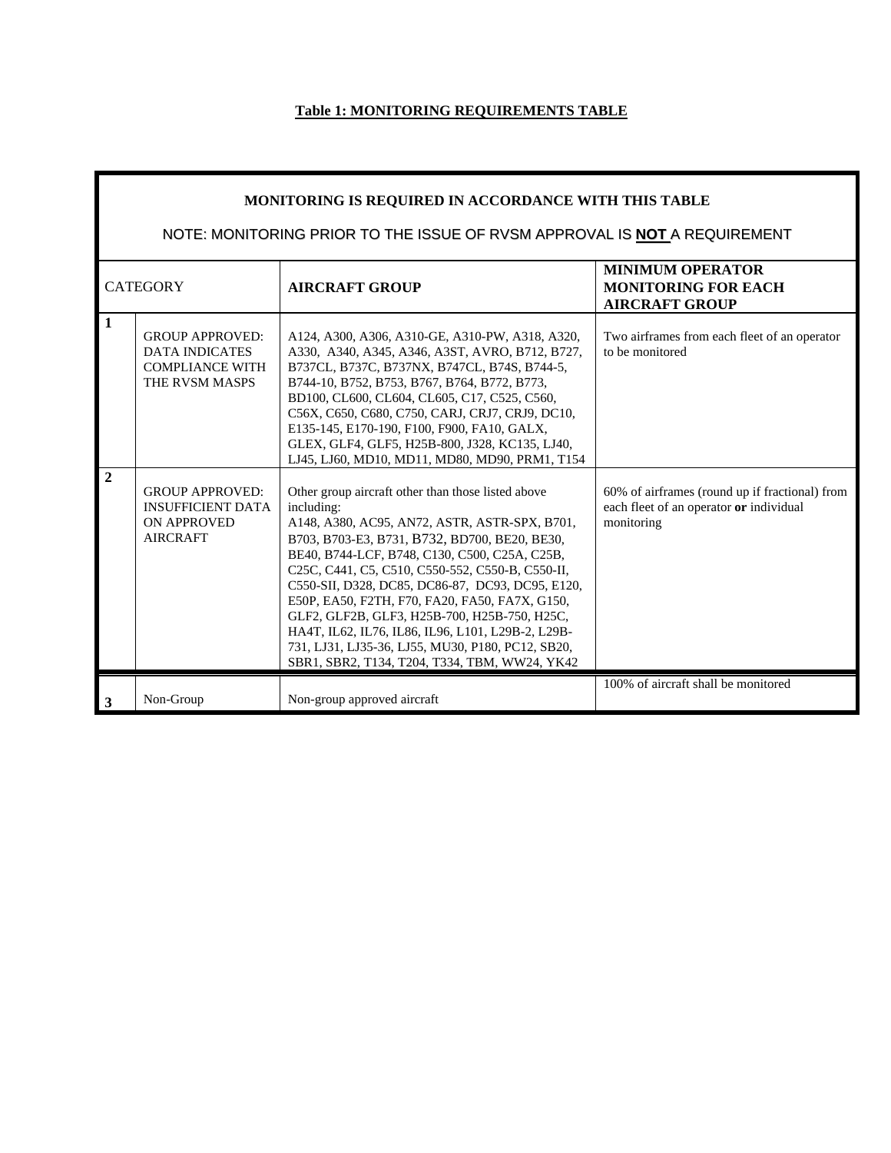# **Table 1: MONITORING REQUIREMENTS TABLE**

ш

| MONITORING IS REQUIRED IN ACCORDANCE WITH THIS TABLE<br>NOTE: MONITORING PRIOR TO THE ISSUE OF RVSM APPROVAL IS NOT A REQUIREMENT |                                                                                             |                                                                                                                                                                                                                                                                                                                                                                                                                                                                                                                                                                                          |                                                                                                         |  |
|-----------------------------------------------------------------------------------------------------------------------------------|---------------------------------------------------------------------------------------------|------------------------------------------------------------------------------------------------------------------------------------------------------------------------------------------------------------------------------------------------------------------------------------------------------------------------------------------------------------------------------------------------------------------------------------------------------------------------------------------------------------------------------------------------------------------------------------------|---------------------------------------------------------------------------------------------------------|--|
| <b>CATEGORY</b>                                                                                                                   |                                                                                             | <b>AIRCRAFT GROUP</b>                                                                                                                                                                                                                                                                                                                                                                                                                                                                                                                                                                    | <b>MINIMUM OPERATOR</b><br><b>MONITORING FOR EACH</b><br><b>AIRCRAFT GROUP</b>                          |  |
| $\mathbf{1}$                                                                                                                      | <b>GROUP APPROVED:</b><br><b>DATA INDICATES</b><br><b>COMPLIANCE WITH</b><br>THE RVSM MASPS | A124, A300, A306, A310-GE, A310-PW, A318, A320,<br>A330, A340, A345, A346, A3ST, AVRO, B712, B727,<br>B737CL, B737C, B737NX, B747CL, B74S, B744-5,<br>B744-10, B752, B753, B767, B764, B772, B773,<br>BD100, CL600, CL604, CL605, C17, C525, C560,<br>C56X, C650, C680, C750, CARJ, CRJ7, CRJ9, DC10,<br>E135-145, E170-190, F100, F900, FA10, GALX,<br>GLEX, GLF4, GLF5, H25B-800, J328, KC135, LJ40,<br>LJ45, LJ60, MD10, MD11, MD80, MD90, PRM1, T154                                                                                                                                 | Two airframes from each fleet of an operator<br>to be monitored                                         |  |
| $\overline{2}$                                                                                                                    | <b>GROUP APPROVED:</b><br><b>INSUFFICIENT DATA</b><br><b>ON APPROVED</b><br><b>AIRCRAFT</b> | Other group aircraft other than those listed above<br>including:<br>A148, A380, AC95, AN72, ASTR, ASTR-SPX, B701,<br>B703, B703-E3, B731, B732, BD700, BE20, BE30,<br>BE40, B744-LCF, B748, C130, C500, C25A, C25B,<br>C25C, C441, C5, C510, C550-552, C550-B, C550-II,<br>C550-SII, D328, DC85, DC86-87, DC93, DC95, E120,<br>E50P, EA50, F2TH, F70, FA20, FA50, FA7X, G150,<br>GLF2, GLF2B, GLF3, H25B-700, H25B-750, H25C,<br>HA4T, IL62, IL76, IL86, IL96, L101, L29B-2, L29B-<br>731, LJ31, LJ35-36, LJ55, MU30, P180, PC12, SB20,<br>SBR1, SBR2, T134, T204, T334, TBM, WW24, YK42 | 60% of airframes (round up if fractional) from<br>each fleet of an operator or individual<br>monitoring |  |
| 3                                                                                                                                 | Non-Group                                                                                   | Non-group approved aircraft                                                                                                                                                                                                                                                                                                                                                                                                                                                                                                                                                              | 100% of aircraft shall be monitored                                                                     |  |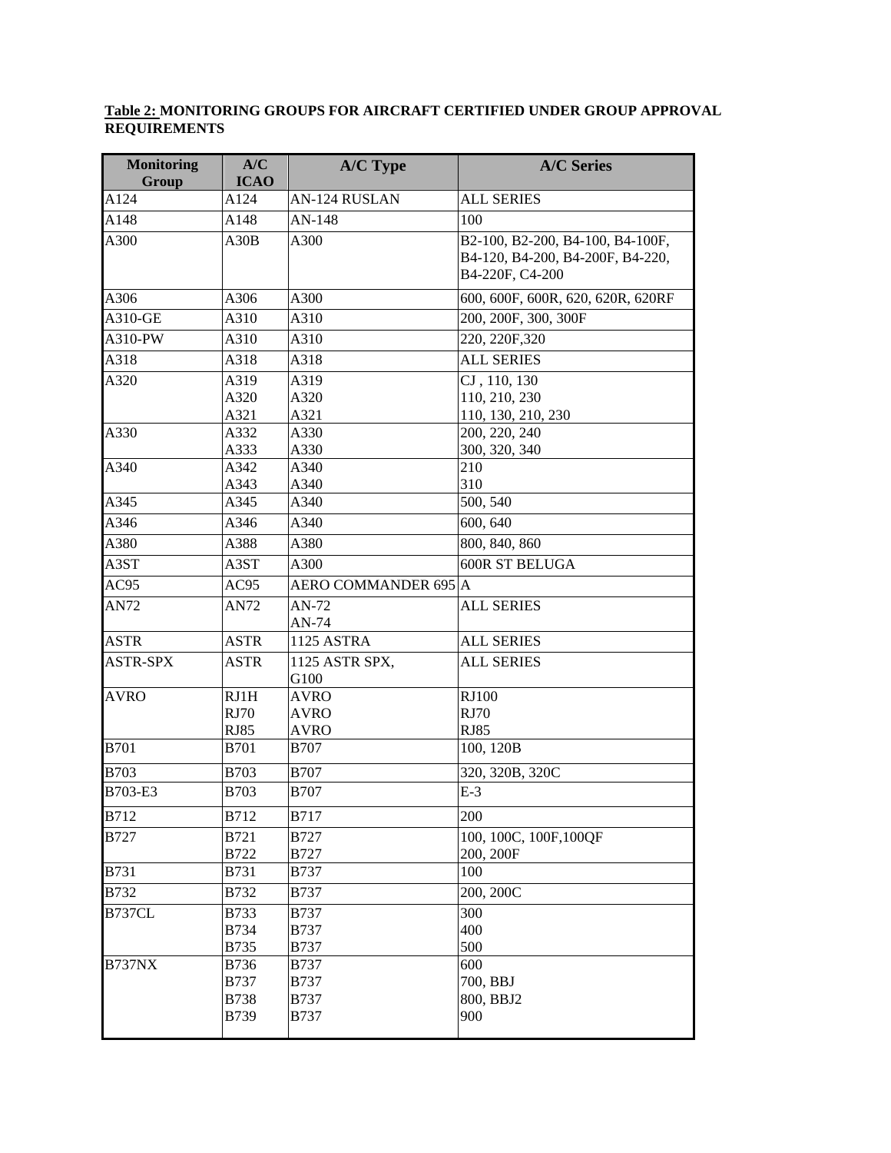#### **Table 2: MONITORING GROUPS FOR AIRCRAFT CERTIFIED UNDER GROUP APPROVAL REQUIREMENTS**

| <b>Monitoring</b><br>Group | A/C<br><b>ICAO</b>                                       | <b>A/C Type</b>                                          | <b>A/C Series</b>                                                                       |
|----------------------------|----------------------------------------------------------|----------------------------------------------------------|-----------------------------------------------------------------------------------------|
| A124                       | A124                                                     | AN-124 RUSLAN                                            | <b>ALL SERIES</b>                                                                       |
| A148                       | A148                                                     | $AN-148$                                                 | 100                                                                                     |
| A300                       | A30B                                                     | A300                                                     | B2-100, B2-200, B4-100, B4-100F,<br>B4-120, B4-200, B4-200F, B4-220,<br>B4-220F, C4-200 |
| A306                       | A306                                                     | A300                                                     | 600, 600F, 600R, 620, 620R, 620RF                                                       |
| A310-GE                    | A310                                                     | A310                                                     | 200, 200F, 300, 300F                                                                    |
| A310-PW                    | A310                                                     | A310                                                     | 220, 220F, 320                                                                          |
| A318                       | A318                                                     | A318                                                     | <b>ALL SERIES</b>                                                                       |
| A320                       | A319<br>A320<br>A321                                     | A319<br>A320<br>A321                                     | CJ, 110, 130<br>110, 210, 230<br>110, 130, 210, 230                                     |
| A330                       | A332<br>A333                                             | A330<br>A330                                             | 200, 220, 240<br>300, 320, 340                                                          |
| A340                       | A342<br>A343                                             | A340<br>A340                                             | 210<br>310                                                                              |
| A345                       | A345                                                     | A340                                                     | 500, 540                                                                                |
| A346                       | A346                                                     | A340                                                     | 600, 640                                                                                |
| A380                       | A388                                                     | A380                                                     | 800, 840, 860                                                                           |
| A3ST                       | A3ST                                                     | A300                                                     | <b>600R ST BELUGA</b>                                                                   |
| AC95                       | AC95                                                     | AERO COMMANDER 695 A                                     |                                                                                         |
| AN72                       | AN72                                                     | AN-72<br>AN-74                                           | <b>ALL SERIES</b>                                                                       |
| <b>ASTR</b>                | <b>ASTR</b>                                              | 1125 ASTRA                                               | <b>ALL SERIES</b>                                                                       |
| <b>ASTR-SPX</b>            | <b>ASTR</b>                                              | 1125 ASTR SPX,<br>G100                                   | <b>ALL SERIES</b>                                                                       |
| <b>AVRO</b>                | RJ1H<br><b>RJ70</b><br><b>RJ85</b>                       | <b>AVRO</b><br><b>AVRO</b><br><b>AVRO</b>                | <b>RJ100</b><br><b>RJ70</b><br><b>RJ85</b>                                              |
| <b>B701</b>                | <b>B701</b>                                              | <b>B707</b>                                              | 100, 120B                                                                               |
| <b>B703</b>                | <b>B703</b>                                              | <b>B707</b>                                              | 320, 320B, 320C                                                                         |
| B703-E3                    | <b>B703</b>                                              | <b>B707</b>                                              | $E-3$                                                                                   |
| <b>B712</b>                | B712                                                     | <b>B717</b>                                              | 200                                                                                     |
| <b>B727</b>                | <b>B721</b><br><b>B722</b>                               | <b>B727</b><br><b>B727</b>                               | 100, 100C, 100F, 100QF<br>200, 200F                                                     |
| <b>B731</b>                | <b>B731</b>                                              | <b>B737</b>                                              | 100                                                                                     |
| B732                       | <b>B732</b>                                              | <b>B737</b>                                              | 200, 200C                                                                               |
| B737CL                     | <b>B733</b><br><b>B734</b><br><b>B735</b>                | <b>B737</b><br><b>B737</b><br><b>B737</b>                | 300<br>400<br>500                                                                       |
| <b>B737NX</b>              | <b>B736</b><br><b>B737</b><br><b>B738</b><br><b>B739</b> | <b>B737</b><br><b>B737</b><br><b>B737</b><br><b>B737</b> | 600<br>700, BBJ<br>800, BBJ2<br>900                                                     |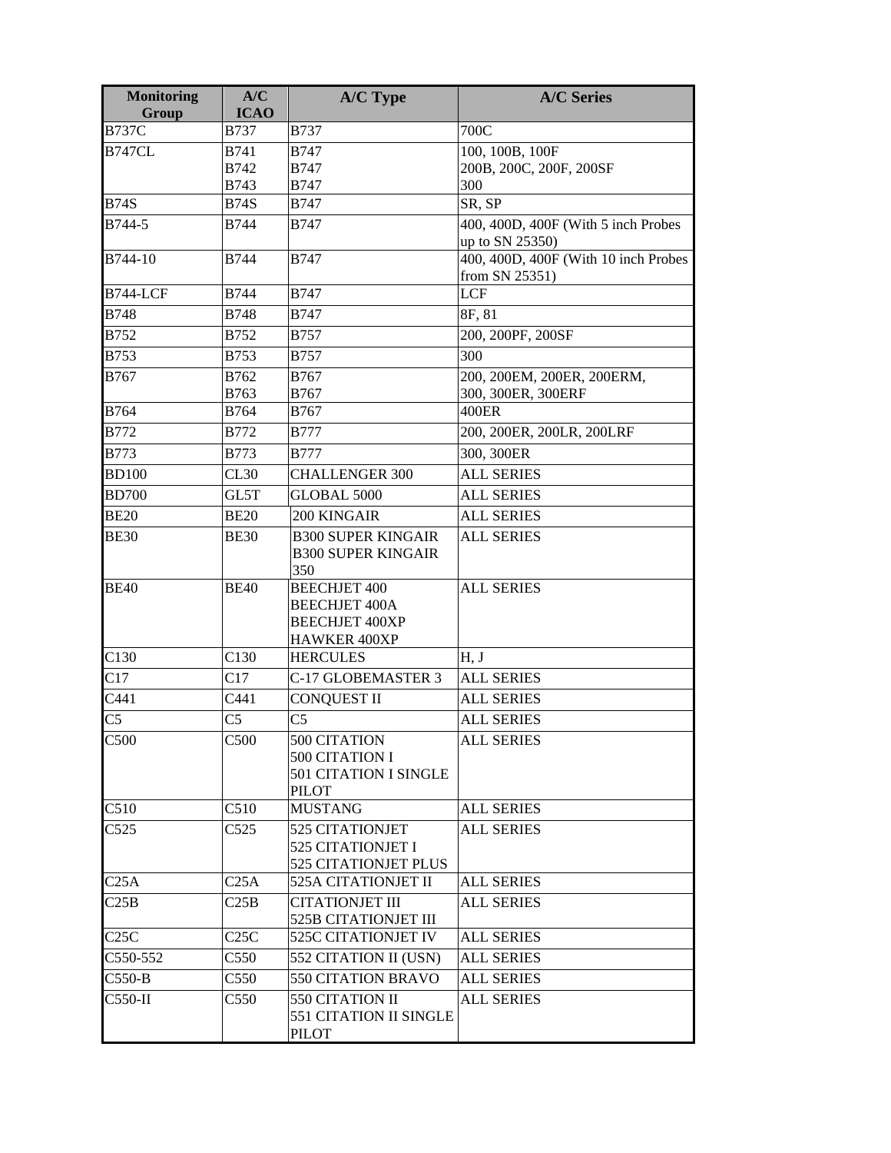| <b>Monitoring</b><br>Group | A/C<br><b>ICAO</b> | A/C Type                                                                       | <b>A/C Series</b>                                      |
|----------------------------|--------------------|--------------------------------------------------------------------------------|--------------------------------------------------------|
| <b>B737C</b>               | <b>B737</b>        | <b>B737</b>                                                                    | 700C                                                   |
| <b>B747CL</b>              | <b>B741</b>        | <b>B747</b>                                                                    | 100, 100B, 100F                                        |
|                            | <b>B742</b>        | <b>B747</b>                                                                    | 200B, 200C, 200F, 200SF                                |
|                            | <b>B743</b>        | <b>B747</b>                                                                    | 300                                                    |
| <b>B74S</b>                | <b>B74S</b>        | <b>B747</b>                                                                    | SR, SP                                                 |
| B744-5                     | <b>B744</b>        | <b>B747</b>                                                                    | 400, 400D, 400F (With 5 inch Probes<br>up to SN 25350) |
| B744-10                    | <b>B744</b>        | <b>B747</b>                                                                    | 400, 400D, 400F (With 10 inch Probes<br>from SN 25351) |
| <b>B744-LCF</b>            | <b>B744</b>        | <b>B747</b>                                                                    | <b>LCF</b>                                             |
| <b>B748</b>                | <b>B748</b>        | <b>B747</b>                                                                    | 8F, 81                                                 |
| <b>B752</b>                | <b>B752</b>        | <b>B757</b>                                                                    | 200, 200PF, 200SF                                      |
| B753                       | <b>B753</b>        | <b>B757</b>                                                                    | 300                                                    |
| <b>B767</b>                | B762               | <b>B767</b>                                                                    | 200, 200EM, 200ER, 200ERM,                             |
|                            | B763               | B767                                                                           | 300, 300ER, 300ERF                                     |
| B764                       | <b>B764</b>        | B767                                                                           | 400ER                                                  |
| <b>B772</b>                | <b>B772</b>        | <b>B777</b>                                                                    | 200, 200ER, 200LR, 200LRF                              |
| <b>B773</b>                | <b>B773</b>        | <b>B777</b>                                                                    | 300, 300ER                                             |
| <b>BD100</b>               | CL30               | <b>CHALLENGER 300</b>                                                          | <b>ALL SERIES</b>                                      |
| <b>BD700</b>               | GL5T               | GLOBAL 5000                                                                    | <b>ALL SERIES</b>                                      |
| <b>BE20</b>                | <b>BE20</b>        | <b>200 KINGAIR</b>                                                             | <b>ALL SERIES</b>                                      |
| <b>BE30</b>                | <b>BE30</b>        | <b>B300 SUPER KINGAIR</b><br><b>B300 SUPER KINGAIR</b>                         | <b>ALL SERIES</b>                                      |
| <b>BE40</b>                | <b>BE40</b>        | 350<br><b>BEECHJET 400</b><br><b>BEECHJET 400A</b><br><b>BEECHJET 400XP</b>    | <b>ALL SERIES</b>                                      |
| C130                       | C130               | HAWKER 400XP<br><b>HERCULES</b>                                                | H, J                                                   |
| C17                        | C17                | C-17 GLOBEMASTER 3                                                             | <b>ALL SERIES</b>                                      |
| C441                       | C441               | <b>CONQUEST II</b>                                                             | <b>ALL SERIES</b>                                      |
| C <sub>5</sub>             | C <sub>5</sub>     | C <sub>5</sub>                                                                 | <b>ALL SERIES</b>                                      |
|                            |                    |                                                                                |                                                        |
| C500                       | C500               | 500 CITATION<br>500 CITATION I<br><b>501 CITATION I SINGLE</b><br><b>PILOT</b> | <b>ALL SERIES</b>                                      |
| C510                       | C510               | <b>MUSTANG</b>                                                                 | <b>ALL SERIES</b>                                      |
| C525                       | C525               | <b>525 CITATIONJET</b><br>525 CITATIONJET I<br>525 CITATIONJET PLUS            | <b>ALL SERIES</b>                                      |
| C25A                       | C <sub>25A</sub>   | <b>525A CITATIONJET II</b>                                                     | <b>ALL SERIES</b>                                      |
| C25B                       | C25B               | <b>CITATIONJET III</b><br><b>525B CITATIONJET III</b>                          | <b>ALL SERIES</b>                                      |
| C25C                       | C25C               | 525C CITATIONJET IV                                                            | <b>ALL SERIES</b>                                      |
| C550-552                   | C550               | 552 CITATION II (USN)                                                          | <b>ALL SERIES</b>                                      |
| $C550-B$                   | C550               | 550 CITATION BRAVO                                                             | <b>ALL SERIES</b>                                      |
| $C550-H$                   | C550               | 550 CITATION II<br>551 CITATION II SINGLE<br>PILOT                             | <b>ALL SERIES</b>                                      |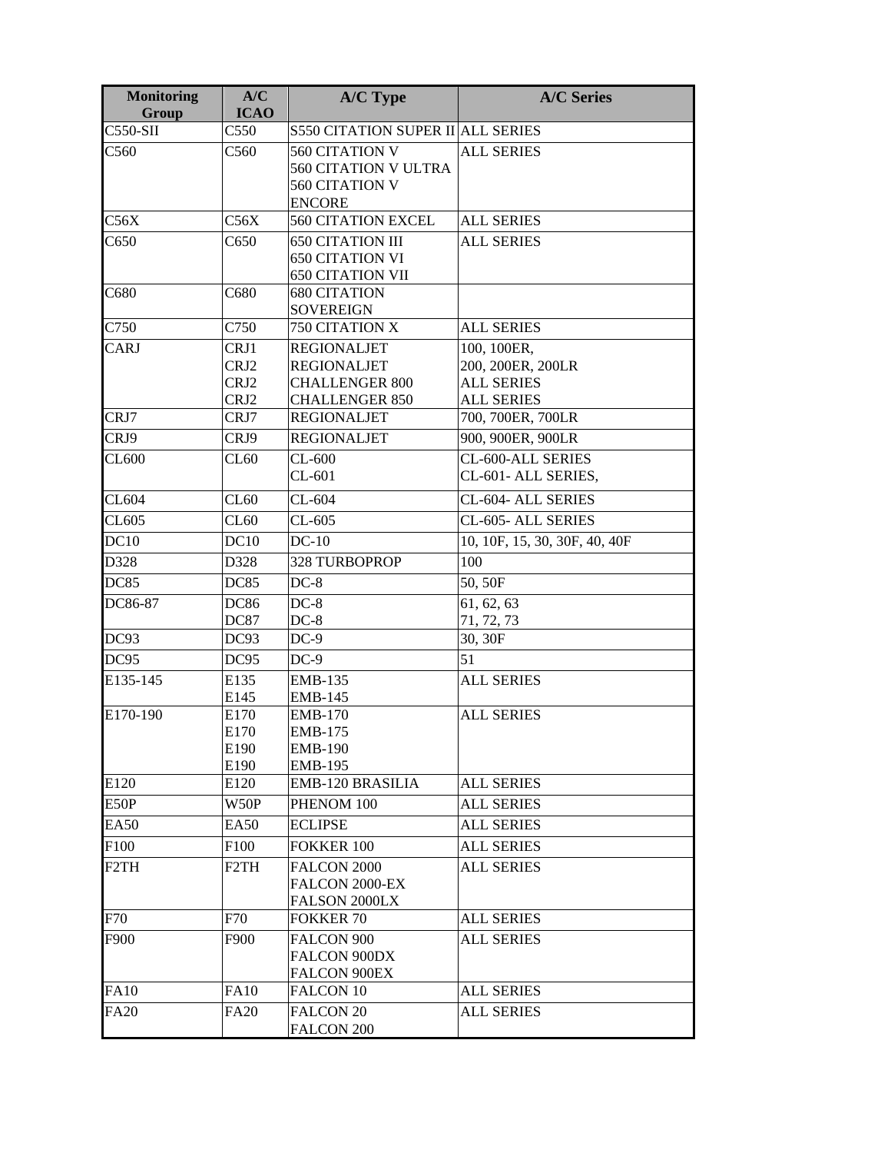| <b>Monitoring</b><br>Group | A/C<br><b>ICAO</b>           | A/C Type                                                                                   | <b>A/C Series</b>                                                          |
|----------------------------|------------------------------|--------------------------------------------------------------------------------------------|----------------------------------------------------------------------------|
| C550-SII                   | C550                         | <b>S550 CITATION SUPER II ALL SERIES</b>                                                   |                                                                            |
| C560                       | C560                         | 560 CITATION V<br><b>560 CITATION V ULTRA</b><br>560 CITATION V<br><b>ENCORE</b>           | <b>ALL SERIES</b>                                                          |
| C56X                       | C56X                         | <b>560 CITATION EXCEL</b>                                                                  | <b>ALL SERIES</b>                                                          |
| C650                       | C650                         | <b>650 CITATION III</b><br><b>650 CITATION VI</b><br><b>650 CITATION VII</b>               | <b>ALL SERIES</b>                                                          |
| C680                       | C680                         | <b>680 CITATION</b><br><b>SOVEREIGN</b>                                                    |                                                                            |
| C750                       | C750                         | 750 CITATION X                                                                             | <b>ALL SERIES</b>                                                          |
| CARJ                       | CRJ1<br>CRJ2<br>CRJ2<br>CRJ2 | <b>REGIONALJET</b><br><b>REGIONALJET</b><br><b>CHALLENGER 800</b><br><b>CHALLENGER 850</b> | 100, 100ER,<br>200, 200ER, 200LR<br><b>ALL SERIES</b><br><b>ALL SERIES</b> |
| CRJ7                       | CRJ7                         | <b>REGIONALJET</b>                                                                         | 700, 700ER, 700LR                                                          |
| CRJ9                       | CRJ9                         | <b>REGIONALJET</b>                                                                         | 900, 900ER, 900LR                                                          |
| CL600                      | CL60                         | $CL-600$<br>$CL-601$                                                                       | CL-600-ALL SERIES<br>CL-601- ALL SERIES,                                   |
| CL604                      | CL60                         | $CL-604$                                                                                   | CL-604- ALL SERIES                                                         |
| CL605                      | CL60                         | $CL-605$                                                                                   | CL-605- ALL SERIES                                                         |
| DC10                       | DC10                         | $DC-10$                                                                                    | 10, 10F, 15, 30, 30F, 40, 40F                                              |
| D328                       | D328                         | <b>328 TURBOPROP</b>                                                                       | 100                                                                        |
| DC85                       | DC85                         | $DC-8$                                                                                     | 50, 50F                                                                    |
| DC86-87                    | <b>DC86</b><br><b>DC87</b>   | $DC-8$<br>$DC-8$                                                                           | 61, 62, 63<br>71, 72, 73                                                   |
| DC93                       | DC93                         | $DC-9$                                                                                     | $30, 30\overline{F}$                                                       |
| DC95                       | DC95                         | $DC-9$                                                                                     | 51                                                                         |
| E135-145                   | E135<br>E145                 | <b>EMB-135</b><br><b>EMB-145</b>                                                           | <b>ALL SERIES</b>                                                          |
| E170-190                   | E170<br>E170<br>E190<br>E190 | <b>EMB-170</b><br><b>EMB-175</b><br><b>EMB-190</b><br><b>EMB-195</b>                       | <b>ALL SERIES</b>                                                          |
| E120                       | E120                         | EMB-120 BRASILIA                                                                           | <b>ALL SERIES</b>                                                          |
| E50P                       | W50P                         | PHENOM 100                                                                                 | <b>ALL SERIES</b>                                                          |
| <b>EA50</b>                | EA50                         | <b>ECLIPSE</b>                                                                             | <b>ALL SERIES</b>                                                          |
| F <sub>100</sub>           | F <sub>100</sub>             | FOKKER 100                                                                                 | <b>ALL SERIES</b>                                                          |
| F <sub>2</sub> TH          | F <sub>2</sub> TH            | FALCON 2000<br>FALCON 2000-EX<br>FALSON 2000LX                                             | <b>ALL SERIES</b>                                                          |
| F70                        | F70                          | <b>FOKKER 70</b>                                                                           | <b>ALL SERIES</b>                                                          |
| F900                       | F900                         | <b>FALCON 900</b><br>FALCON 900DX<br><b>FALCON 900EX</b>                                   | <b>ALL SERIES</b>                                                          |
| <b>FA10</b>                | <b>FA10</b>                  | FALCON 10                                                                                  | <b>ALL SERIES</b>                                                          |
| <b>FA20</b>                | <b>FA20</b>                  | FALCON <sub>20</sub><br>FALCON 200                                                         | <b>ALL SERIES</b>                                                          |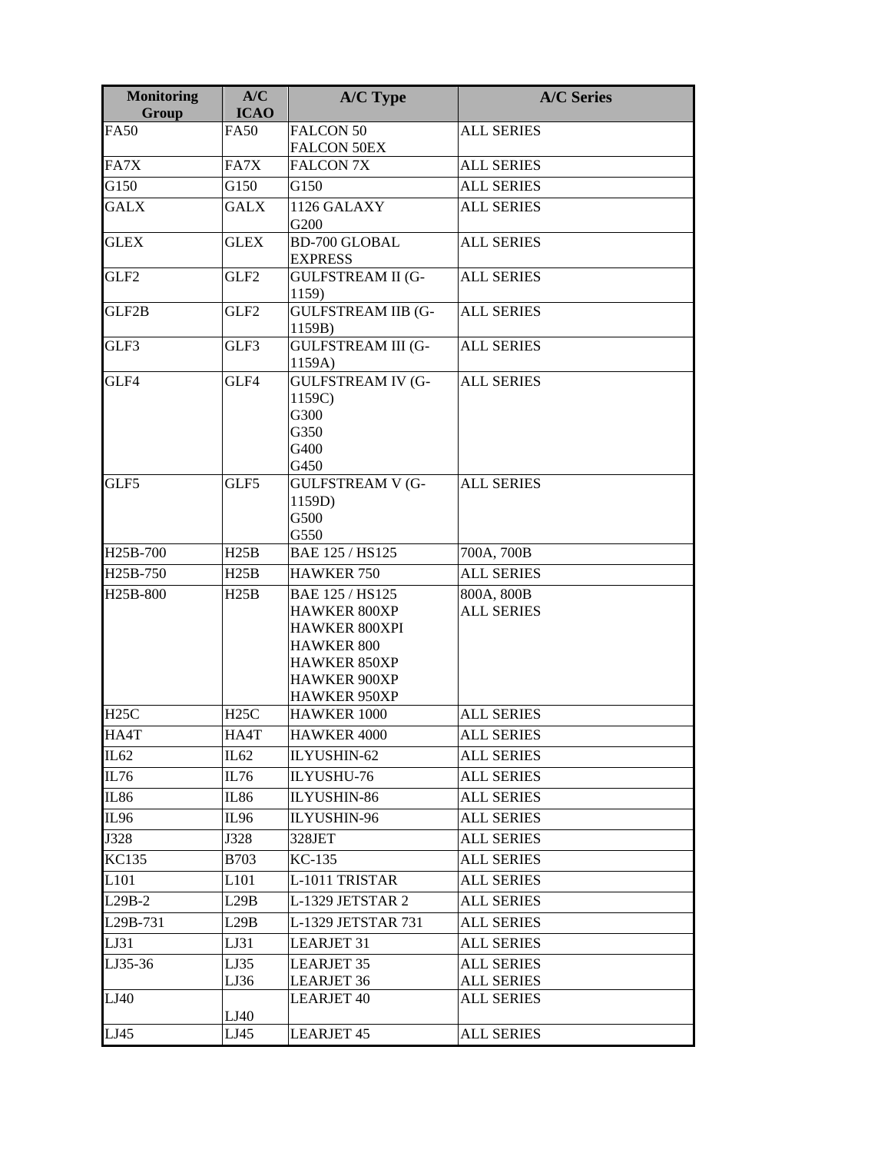| <b>Monitoring</b><br>Group | A/C<br><b>ICAO</b> | A/C Type                                                                                                                                                 | <b>A/C Series</b>               |
|----------------------------|--------------------|----------------------------------------------------------------------------------------------------------------------------------------------------------|---------------------------------|
| <b>FA50</b>                | <b>FA50</b>        | <b>FALCON 50</b><br><b>FALCON 50EX</b>                                                                                                                   | <b>ALL SERIES</b>               |
| FA7X                       | FA7X               | <b>FALCON 7X</b>                                                                                                                                         | <b>ALL SERIES</b>               |
| G150                       | G150               | G150                                                                                                                                                     | <b>ALL SERIES</b>               |
| <b>GALX</b>                | <b>GALX</b>        | 1126 GALAXY                                                                                                                                              | <b>ALL SERIES</b>               |
|                            |                    | G200                                                                                                                                                     |                                 |
| <b>GLEX</b>                | <b>GLEX</b>        | <b>BD-700 GLOBAL</b><br><b>EXPRESS</b>                                                                                                                   | <b>ALL SERIES</b>               |
| GLF2                       | GLF2               | <b>GULFSTREAM II (G-</b><br>1159)                                                                                                                        | <b>ALL SERIES</b>               |
| GLF2B                      | GLF2               | <b>GULFSTREAM IIB (G-</b><br>1159B)                                                                                                                      | <b>ALL SERIES</b>               |
| GLF3                       | GLF3               | <b>GULFSTREAM III (G-</b><br>1159A)                                                                                                                      | <b>ALL SERIES</b>               |
| GLF4                       | GLF4               | <b>GULFSTREAM IV (G-</b><br>1159C)<br>G300<br>G350<br>G400<br>G450                                                                                       | <b>ALL SERIES</b>               |
| GLF5                       | GLF5               | <b>GULFSTREAM V (G-</b><br>1159D)<br>G500<br>G550                                                                                                        | <b>ALL SERIES</b>               |
| H25B-700                   | H25B               | BAE 125 / HS125                                                                                                                                          | 700A, 700B                      |
| H25B-750                   | H25B               | <b>HAWKER 750</b>                                                                                                                                        | <b>ALL SERIES</b>               |
| H25B-800                   | H25B               | BAE 125 / HS125<br><b>HAWKER 800XP</b><br><b>HAWKER 800XPI</b><br><b>HAWKER 800</b><br><b>HAWKER 850XP</b><br><b>HAWKER 900XP</b><br><b>HAWKER 950XP</b> | 800A, 800B<br><b>ALL SERIES</b> |
| H25C                       | H25C               | <b>HAWKER 1000</b>                                                                                                                                       | <b>ALL SERIES</b>               |
| HA4T                       | HA4T               | HAWKER 4000                                                                                                                                              | <b>ALL SERIES</b>               |
| IL62                       | IL62               | ILYUSHIN-62                                                                                                                                              | <b>ALL SERIES</b>               |
| IL76                       | IL76               | ILYUSHU-76                                                                                                                                               | <b>ALL SERIES</b>               |
| IL86                       | IL86               | ILYUSHIN-86                                                                                                                                              | <b>ALL SERIES</b>               |
| IL96                       | IL96               | ILYUSHIN-96                                                                                                                                              | <b>ALL SERIES</b>               |
| J328                       | J328               | 328JET                                                                                                                                                   | <b>ALL SERIES</b>               |
| KC135                      | B703               | KC-135                                                                                                                                                   | <b>ALL SERIES</b>               |
| L <sub>101</sub>           | L <sub>101</sub>   | L-1011 TRISTAR                                                                                                                                           | <b>ALL SERIES</b>               |
| $L29B-2$                   | L29B               | L-1329 JETSTAR 2                                                                                                                                         | <b>ALL SERIES</b>               |
| L29B-731                   | L29B               | L-1329 JETSTAR 731                                                                                                                                       | <b>ALL SERIES</b>               |
| LJ31                       | LJ31               | <b>LEARJET 31</b>                                                                                                                                        | <b>ALL SERIES</b>               |
| LJ35-36                    |                    | <b>LEARJET 35</b>                                                                                                                                        | <b>ALL SERIES</b>               |
|                            | LJ35<br>LJ36       | <b>LEARJET 36</b>                                                                                                                                        | <b>ALL SERIES</b>               |
| LJ40                       | LJ40               | <b>LEARJET 40</b>                                                                                                                                        | <b>ALL SERIES</b>               |
| LJ45                       | LJ45               | <b>LEARJET 45</b>                                                                                                                                        | <b>ALL SERIES</b>               |